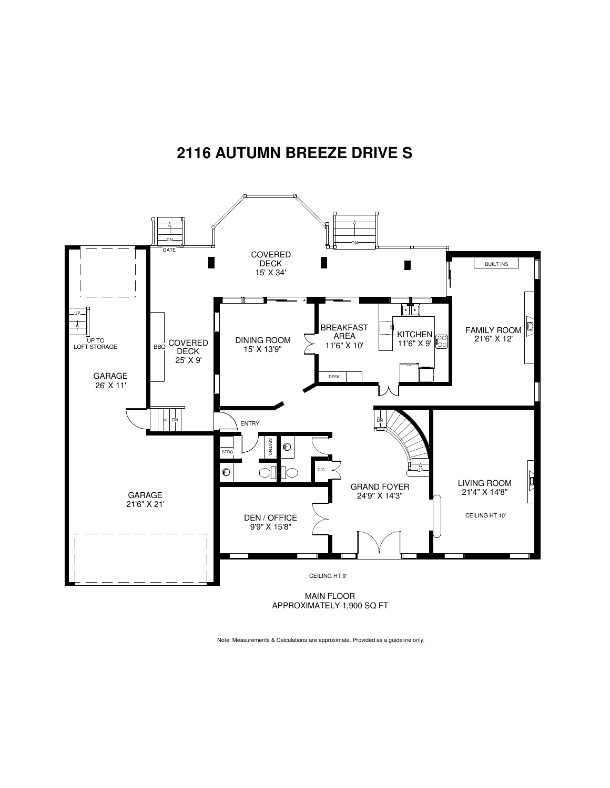## **2116 AUTUMN BREEZE DRIVE S**



APPROXIMATELY 1,900 SQ FT

Note: Measurements & Calculations are approximate. Provided as a guideline only.